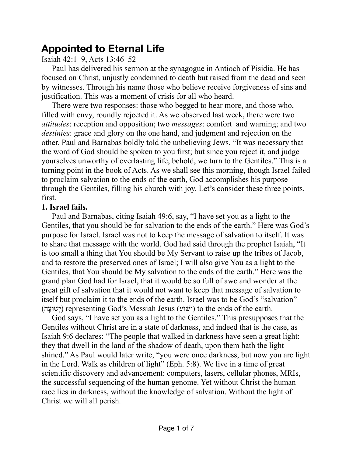# **Appointed to Eternal Life**

## Isaiah 42:1–9, Acts 13:46–52

Paul has delivered his sermon at the synagogue in Antioch of Pisidia. He has focused on Christ, unjustly condemned to death but raised from the dead and seen by witnesses. Through his name those who believe receive forgiveness of sins and justification. This was a moment of crisis for all who heard.

There were two responses: those who begged to hear more, and those who, filled with envy, roundly rejected it. As we observed last week, there were two *attitudes*: reception and opposition; two *messages*: comfort and warning; and two *destinies*: grace and glory on the one hand, and judgment and rejection on the other. Paul and Barnabas boldly told the unbelieving Jews, "It was necessary that the word of God should be spoken to you first; but since you reject it, and judge yourselves unworthy of everlasting life, behold, we turn to the Gentiles." This is a turning point in the book of Acts. As we shall see this morning, though Israel failed to proclaim salvation to the ends of the earth, God accomplishes his purpose through the Gentiles, filling his church with joy. Let's consider these three points, first,

## **1. Israel fails.**

Paul and Barnabas, citing Isaiah 49:6, say, "I have set you as a light to the Gentiles, that you should be for salvation to the ends of the earth." Here was God's purpose for Israel. Israel was not to keep the message of salvation to itself. It was to share that message with the world. God had said through the prophet Isaiah, "It is too small a thing that You should be My Servant to raise up the tribes of Jacob, and to restore the preserved ones of Israel; I will also give You as a light to the Gentiles, that You should be My salvation to the ends of the earth." Here was the grand plan God had for Israel, that it would be so full of awe and wonder at the great gift of salvation that it would not want to keep that message of salvation to itself but proclaim it to the ends of the earth. Israel was to be God's "salvation" (יִשׁוּעָה) representing God's Messiah Jesus (יָשׁוּעַה) to the ends of the earth.

God says, "I have set you as a light to the Gentiles." This presupposes that the Gentiles without Christ are in a state of darkness, and indeed that is the case, as Isaiah 9:6 declares: "The people that walked in darkness have seen a great light: they that dwell in the land of the shadow of death, upon them hath the light shined." As Paul would later write, "you were once darkness, but now you are light in the Lord. Walk as children of light" (Eph. 5:8). We live in a time of great scientific discovery and advancement: computers, lasers, cellular phones, MRIs, the successful sequencing of the human genome. Yet without Christ the human race lies in darkness, without the knowledge of salvation. Without the light of Christ we will all perish.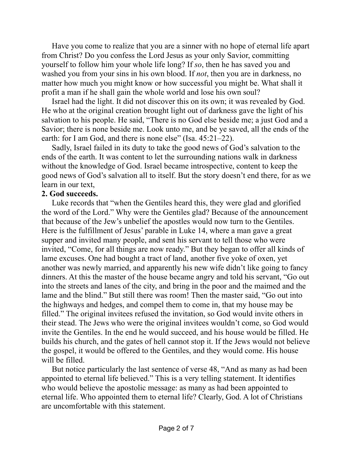Have you come to realize that you are a sinner with no hope of eternal life apart from Christ? Do you confess the Lord Jesus as your only Savior, committing yourself to follow him your whole life long? If *so*, then he has saved you and washed you from your sins in his own blood. If *not*, then you are in darkness, no matter how much you might know or how successful you might be. What shall it profit a man if he shall gain the whole world and lose his own soul?

Israel had the light. It did not discover this on its own; it was revealed by God. He who at the original creation brought light out of darkness gave the light of his salvation to his people. He said, "There is no God else beside me; a just God and a Savior; there is none beside me. Look unto me, and be ye saved, all the ends of the earth: for I am God, and there is none else" (Isa. 45:21–22).

Sadly, Israel failed in its duty to take the good news of God's salvation to the ends of the earth. It was content to let the surrounding nations walk in darkness without the knowledge of God. Israel became introspective, content to keep the good news of God's salvation all to itself. But the story doesn't end there, for as we learn in our text,

#### **2. God succeeds.**

Luke records that "when the Gentiles heard this, they were glad and glorified the word of the Lord." Why were the Gentiles glad? Because of the announcement that because of the Jew's unbelief the apostles would now turn to the Gentiles. Here is the fulfillment of Jesus' parable in Luke 14, where a man gave a great supper and invited many people, and sent his servant to tell those who were invited, "Come, for all things are now ready." But they began to offer all kinds of lame excuses. One had bought a tract of land, another five yoke of oxen, yet another was newly married, and apparently his new wife didn't like going to fancy dinners. At this the master of the house became angry and told his servant, "Go out into the streets and lanes of the city, and bring in the poor and the maimed and the lame and the blind." But still there was room! Then the master said, "Go out into the highways and hedges, and compel them to come in, that my house may be filled." The original invitees refused the invitation, so God would invite others in their stead. The Jews who were the original invitees wouldn't come, so God would invite the Gentiles. In the end he would succeed, and his house would be filled. He builds his church, and the gates of hell cannot stop it. If the Jews would not believe the gospel, it would be offered to the Gentiles, and they would come. His house will be filled.

But notice particularly the last sentence of verse 48, "And as many as had been appointed to eternal life believed." This is a very telling statement. It identifies who would believe the apostolic message: as many as had been appointed to eternal life. Who appointed them to eternal life? Clearly, God. A lot of Christians are uncomfortable with this statement.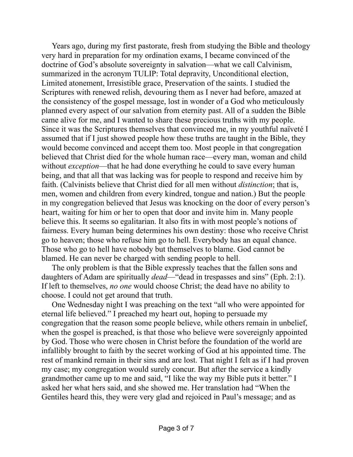Years ago, during my first pastorate, fresh from studying the Bible and theology very hard in preparation for my ordination exams, I became convinced of the doctrine of God's absolute sovereignty in salvation—what we call Calvinism, summarized in the acronym TULIP: Total depravity, Unconditional election, Limited atonement, Irresistible grace, Preservation of the saints. I studied the Scriptures with renewed relish, devouring them as I never had before, amazed at the consistency of the gospel message, lost in wonder of a God who meticulously planned every aspect of our salvation from eternity past. All of a sudden the Bible came alive for me, and I wanted to share these precious truths with my people. Since it was the Scriptures themselves that convinced me, in my youthful naïveté I assumed that if I just showed people how these truths are taught in the Bible, they would become convinced and accept them too. Most people in that congregation believed that Christ died for the whole human race—every man, woman and child without *exception*—that he had done everything he could to save every human being, and that all that was lacking was for people to respond and receive him by faith. (Calvinists believe that Christ died for all men without *distinction*; that is, men, women and children from every kindred, tongue and nation.) But the people in my congregation believed that Jesus was knocking on the door of every person's heart, waiting for him or her to open that door and invite him in. Many people believe this. It seems so egalitarian. It also fits in with most people's notions of fairness. Every human being determines his own destiny: those who receive Christ go to heaven; those who refuse him go to hell. Everybody has an equal chance. Those who go to hell have nobody but themselves to blame. God cannot be blamed. He can never be charged with sending people to hell.

The only problem is that the Bible expressly teaches that the fallen sons and daughters of Adam are spiritually *dead*—"dead in trespasses and sins" (Eph. 2:1). If left to themselves, *no one* would choose Christ; the dead have no ability to choose. I could not get around that truth.

One Wednesday night I was preaching on the text "all who were appointed for eternal life believed." I preached my heart out, hoping to persuade my congregation that the reason some people believe, while others remain in unbelief, when the gospel is preached, is that those who believe were sovereignly appointed by God. Those who were chosen in Christ before the foundation of the world are infallibly brought to faith by the secret working of God at his appointed time. The rest of mankind remain in their sins and are lost. That night I felt as if I had proven my case; my congregation would surely concur. But after the service a kindly grandmother came up to me and said, "I like the way my Bible puts it better." I asked her what hers said, and she showed me. Her translation had "When the Gentiles heard this, they were very glad and rejoiced in Paul's message; and as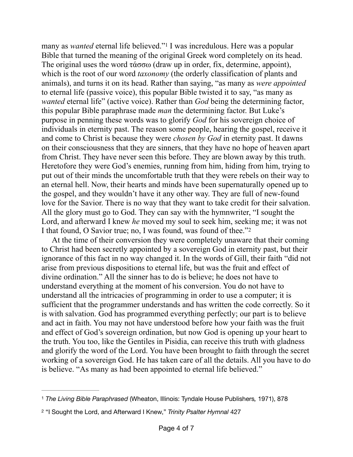<span id="page-3-2"></span>many as *wanted* eternal life believed."<sup>[1](#page-3-0)</sup> I was incredulous. Here was a popular Bible that turned the meaning of the original Greek word completely on its head. The original uses the word τάσσω (draw up in order, fix, determine, appoint), which is the root of our word *taxonomy* (the orderly classification of plants and animals), and turns it on its head. Rather than saying, "as many as *were appointed* to eternal life (passive voice), this popular Bible twisted it to say, "as many as *wanted* eternal life" (active voice). Rather than *God* being the determining factor, this popular Bible paraphrase made *man* the determining factor. But Luke's purpose in penning these words was to glorify *God* for his sovereign choice of individuals in eternity past. The reason some people, hearing the gospel, receive it and come to Christ is because they were *chosen by God* in eternity past. It dawns on their consciousness that they are sinners, that they have no hope of heaven apart from Christ. They have never seen this before. They are blown away by this truth. Heretofore they were God's enemies, running from him, hiding from him, trying to put out of their minds the uncomfortable truth that they were rebels on their way to an eternal hell. Now, their hearts and minds have been supernaturally opened up to the gospel, and they wouldn't have it any other way. They are full of new-found love for the Savior. There is no way that they want to take credit for their salvation. All the glory must go to God. They can say with the hymnwriter, "I sought the Lord, and afterward I knew *he* moved my soul to seek him, seeking me; it was not I that found, O Savior true; no, I was found, was found of thee."[2](#page-3-1)

<span id="page-3-3"></span>At the time of their conversion they were completely unaware that their coming to Christ had been secretly appointed by a sovereign God in eternity past, but their ignorance of this fact in no way changed it. In the words of Gill, their faith "did not arise from previous dispositions to eternal life, but was the fruit and effect of divine ordination." All the sinner has to do is believe; he does not have to understand everything at the moment of his conversion. You do not have to understand all the intricacies of programming in order to use a computer; it is sufficient that the programmer understands and has written the code correctly. So it is with salvation. God has programmed everything perfectly; our part is to believe and act in faith. You may not have understood before how your faith was the fruit and effect of God's sovereign ordination, but now God is opening up your heart to the truth. You too, like the Gentiles in Pisidia, can receive this truth with gladness and glorify the word of the Lord. You have been brought to faith through the secret working of a sovereign God. He has taken care of all the details. All you have to do is believe. "As many as had been appointed to eternal life believed."

<span id="page-3-0"></span>[<sup>1</sup>](#page-3-2) *The Living Bible Paraphrased* (Wheaton, Illinois: Tyndale House Publishers*,* 1971), 878

<span id="page-3-1"></span>[<sup>2</sup>](#page-3-3) "I Sought the Lord, and Afterward I Knew," *Trinity Psalter Hymnal* 427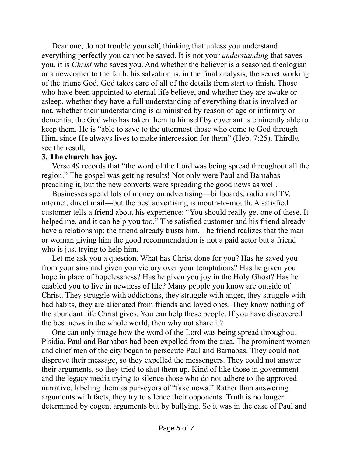Dear one, do not trouble yourself, thinking that unless you understand everything perfectly you cannot be saved. It is not your *understanding* that saves you, it is *Christ* who saves you. And whether the believer is a seasoned theologian or a newcomer to the faith, his salvation is, in the final analysis, the secret working of the triune God. God takes care of all of the details from start to finish. Those who have been appointed to eternal life believe, and whether they are awake or asleep, whether they have a full understanding of everything that is involved or not, whether their understanding is diminished by reason of age or infirmity or dementia, the God who has taken them to himself by covenant is eminently able to keep them. He is "able to save to the uttermost those who come to God through Him, since He always lives to make intercession for them" (Heb. 7:25). Thirdly, see the result,

#### **3. The church has joy.**

Verse 49 records that "the word of the Lord was being spread throughout all the region." The gospel was getting results! Not only were Paul and Barnabas preaching it, but the new converts were spreading the good news as well.

Businesses spend lots of money on advertising—billboards, radio and TV, internet, direct mail—but the best advertising is mouth-to-mouth. A satisfied customer tells a friend about his experience: "You should really get one of these. It helped me, and it can help you too." The satisfied customer and his friend already have a relationship; the friend already trusts him. The friend realizes that the man or woman giving him the good recommendation is not a paid actor but a friend who is just trying to help him.

Let me ask you a question. What has Christ done for you? Has he saved you from your sins and given you victory over your temptations? Has he given you hope in place of hopelessness? Has he given you joy in the Holy Ghost? Has he enabled you to live in newness of life? Many people you know are outside of Christ. They struggle with addictions, they struggle with anger, they struggle with bad habits, they are alienated from friends and loved ones. They know nothing of the abundant life Christ gives. You can help these people. If you have discovered the best news in the whole world, then why not share it?

One can only image how the word of the Lord was being spread throughout Pisidia. Paul and Barnabas had been expelled from the area. The prominent women and chief men of the city began to persecute Paul and Barnabas. They could not disprove their message, so they expelled the messengers. They could not answer their arguments, so they tried to shut them up. Kind of like those in government and the legacy media trying to silence those who do not adhere to the approved narrative, labeling them as purveyors of "fake news." Rather than answering arguments with facts, they try to silence their opponents. Truth is no longer determined by cogent arguments but by bullying. So it was in the case of Paul and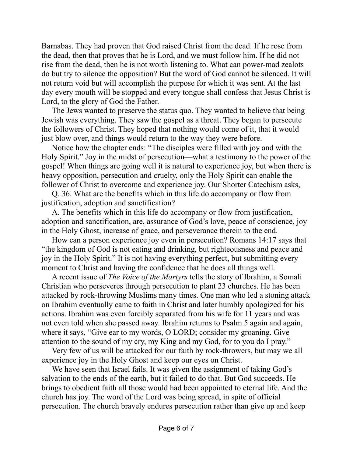Barnabas. They had proven that God raised Christ from the dead. If he rose from the dead, then that proves that he is Lord, and we must follow him. If he did not rise from the dead, then he is not worth listening to. What can power-mad zealots do but try to silence the opposition? But the word of God cannot be silenced. It will not return void but will accomplish the purpose for which it was sent. At the last day every mouth will be stopped and every tongue shall confess that Jesus Christ is Lord, to the glory of God the Father.

The Jews wanted to preserve the status quo. They wanted to believe that being Jewish was everything. They saw the gospel as a threat. They began to persecute the followers of Christ. They hoped that nothing would come of it, that it would just blow over, and things would return to the way they were before.

Notice how the chapter ends: "The disciples were filled with joy and with the Holy Spirit." Joy in the midst of persecution—what a testimony to the power of the gospel! When things are going well it is natural to experience joy, but when there is heavy opposition, persecution and cruelty, only the Holy Spirit can enable the follower of Christ to overcome and experience joy. Our Shorter Catechism asks,

Q. 36. What are the benefits which in this life do accompany or flow from justification, adoption and sanctification?

A. The benefits which in this life do accompany or flow from justification, adoption and sanctification, are, assurance of God's love, peace of conscience, joy in the Holy Ghost, increase of grace, and perseverance therein to the end.

How can a person experience joy even in persecution? Romans 14:17 says that "the kingdom of God is not eating and drinking, but righteousness and peace and joy in the Holy Spirit." It is not having everything perfect, but submitting every moment to Christ and having the confidence that he does all things well.

A recent issue of *The Voice of the Martyrs* tells the story of Ibrahim, a Somali Christian who perseveres through persecution to plant 23 churches. He has been attacked by rock-throwing Muslims many times. One man who led a stoning attack on Ibrahim eventually came to faith in Christ and later humbly apologized for his actions. Ibrahim was even forcibly separated from his wife for 11 years and was not even told when she passed away. Ibrahim returns to Psalm 5 again and again, where it says, "Give ear to my words, O LORD; consider my groaning. Give attention to the sound of my cry, my King and my God, for to you do I pray."

Very few of us will be attacked for our faith by rock-throwers, but may we all experience joy in the Holy Ghost and keep our eyes on Christ.

We have seen that Israel fails. It was given the assignment of taking God's salvation to the ends of the earth, but it failed to do that. But God succeeds. He brings to obedient faith all those would had been appointed to eternal life. And the church has joy. The word of the Lord was being spread, in spite of official persecution. The church bravely endures persecution rather than give up and keep